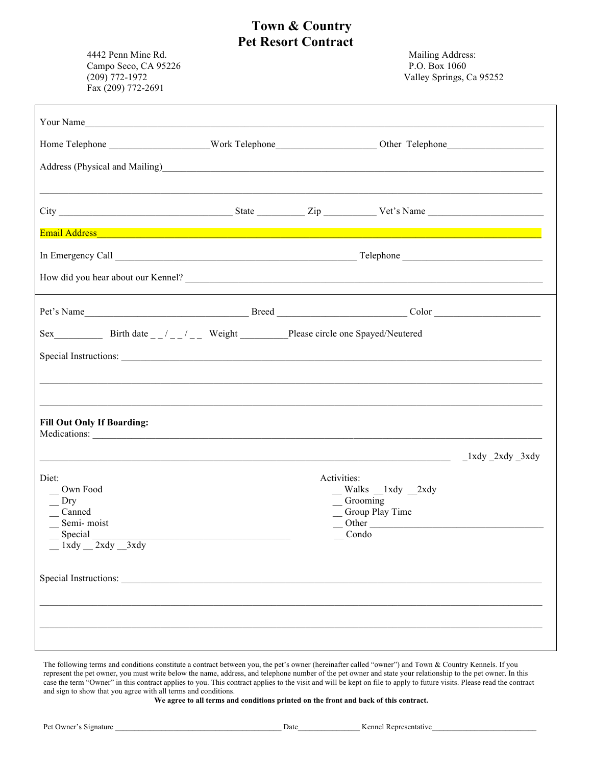## **Town & Country Pet Resort Contract**

4442 Penn Mine Rd. Mailing Address: Campo Seco, CA 95226 P.O. Box 1060 (209) 772-1972 Valley Springs, Ca 95252 Fax (209) 772-2691

| Your Name                                                                                                                                                                                                                                                                                                                                                 |  |                      |                                                                                                          |  |
|-----------------------------------------------------------------------------------------------------------------------------------------------------------------------------------------------------------------------------------------------------------------------------------------------------------------------------------------------------------|--|----------------------|----------------------------------------------------------------------------------------------------------|--|
|                                                                                                                                                                                                                                                                                                                                                           |  |                      |                                                                                                          |  |
| Address (Physical and Mailing)<br><u>Address</u> (Physical and Mailing)                                                                                                                                                                                                                                                                                   |  |                      |                                                                                                          |  |
| <u> 1989 - Johann Stoff, amerikansk politiker (d. 1989)</u>                                                                                                                                                                                                                                                                                               |  |                      |                                                                                                          |  |
|                                                                                                                                                                                                                                                                                                                                                           |  |                      |                                                                                                          |  |
| Email Address and the contract of the contract of the contract of the contract of the contract of the contract                                                                                                                                                                                                                                            |  |                      |                                                                                                          |  |
|                                                                                                                                                                                                                                                                                                                                                           |  |                      |                                                                                                          |  |
| How did you hear about our Kennel?                                                                                                                                                                                                                                                                                                                        |  |                      |                                                                                                          |  |
|                                                                                                                                                                                                                                                                                                                                                           |  |                      |                                                                                                          |  |
|                                                                                                                                                                                                                                                                                                                                                           |  |                      |                                                                                                          |  |
|                                                                                                                                                                                                                                                                                                                                                           |  |                      |                                                                                                          |  |
|                                                                                                                                                                                                                                                                                                                                                           |  |                      |                                                                                                          |  |
|                                                                                                                                                                                                                                                                                                                                                           |  |                      |                                                                                                          |  |
| <b>Fill Out Only If Boarding:</b>                                                                                                                                                                                                                                                                                                                         |  |                      |                                                                                                          |  |
| $\frac{1}{2}$ $\frac{1}{2}$ $\frac{1}{2}$ $\frac{1}{2}$ $\frac{1}{2}$ $\frac{1}{2}$ $\frac{1}{2}$ $\frac{1}{2}$ $\frac{1}{2}$ $\frac{1}{2}$ $\frac{1}{2}$ $\frac{1}{2}$ $\frac{1}{2}$ $\frac{1}{2}$ $\frac{1}{2}$ $\frac{1}{2}$ $\frac{1}{2}$ $\frac{1}{2}$ $\frac{1}{2}$ $\frac{1}{2}$ $\frac{1}{2}$ $\frac{1}{2}$                                       |  |                      |                                                                                                          |  |
| Diet:<br>Own Food<br>$\Gamma$<br>_Canned<br>_Semi-moist<br>$\frac{1}{2}$ Special $\frac{1}{2}$ and $\frac{1}{2}$ and $\frac{1}{2}$ and $\frac{1}{2}$ and $\frac{1}{2}$ and $\frac{1}{2}$ and $\frac{1}{2}$ and $\frac{1}{2}$ and $\frac{1}{2}$ and $\frac{1}{2}$ and $\frac{1}{2}$ and $\frac{1}{2}$ and $\frac{1}{2}$ and $\frac{1}{2}$ and $\frac{1}{2$ |  | Activities:<br>Condo | $\frac{Walks}{1}$ xdy $\frac{2xdy}{1}$<br>Grooming<br>_Group Play Time<br>$\overline{\phantom{a}}$ Other |  |
|                                                                                                                                                                                                                                                                                                                                                           |  |                      |                                                                                                          |  |
|                                                                                                                                                                                                                                                                                                                                                           |  |                      |                                                                                                          |  |
|                                                                                                                                                                                                                                                                                                                                                           |  |                      |                                                                                                          |  |

The following terms and conditions constitute a contract between you, the pet's owner (hereinafter called "owner") and Town & Country Kennels. If you represent the pet owner, you must write below the name, address, and telephone number of the pet owner and state your relationship to the pet owner. In this case the term "Owner" in this contract applies to you. This contract applies to the visit and will be kept on file to apply to future visits. Please read the contract and sign to show that you agree with all terms and conditions.

**We agree to all terms and conditions printed on the front and back of this contract.**